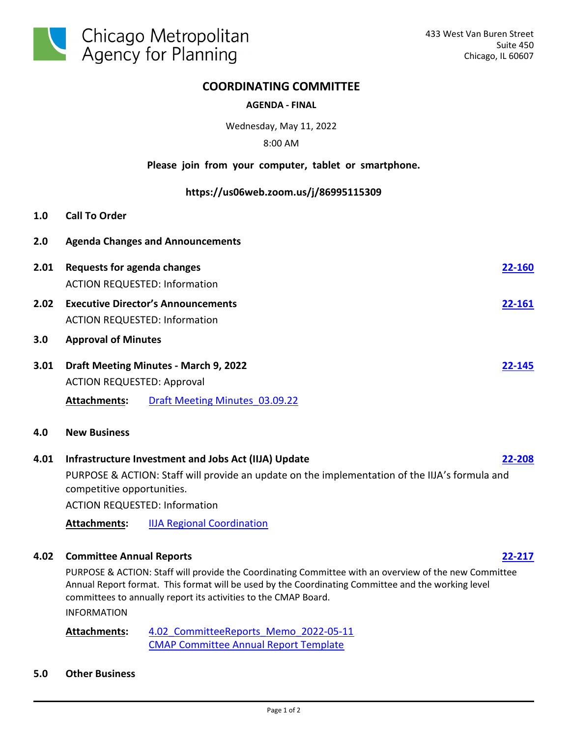

## **COORDINATING COMMITTEE**

## **AGENDA - FINAL**

Wednesday, May 11, 2022

### 8:00 AM

## **Please join from your computer, tablet or smartphone.**

#### **https://us06web.zoom.us/j/86995115309**

- **1.0 Call To Order**
- **2.0 Agenda Changes and Announcements**
- **2.01 Requests for agenda changes [22-160](http://cmap.legistar.com/gateway.aspx?m=l&id=/matter.aspx?key=1445)** ACTION REQUESTED: Information **2.02 Executive Director's Announcements [22-161](http://cmap.legistar.com/gateway.aspx?m=l&id=/matter.aspx?key=1446)** ACTION REQUESTED: Information **3.0 Approval of Minutes 3.01 Draft Meeting Minutes - March 9, 2022 [22-145](http://cmap.legistar.com/gateway.aspx?m=l&id=/matter.aspx?key=1431)** ACTION REQUESTED: Approval
	- **Attachments:** [Draft Meeting Minutes\\_03.09.22](http://cmap.legistar.com/gateway.aspx?M=F&ID=8cf8df0c-aa1a-44c9-a59b-d0acfdfb934b.pdf)
- **4.0 New Business**

# **4.01 Infrastructure Investment and Jobs Act (IIJA) Update [22-208](http://cmap.legistar.com/gateway.aspx?m=l&id=/matter.aspx?key=1489)** PURPOSE & ACTION: Staff will provide an update on the implementation of the IIJA's formula and competitive opportunities.

ACTION REQUESTED: Information

**Attachments:** [IIJA Regional Coordination](http://cmap.legistar.com/gateway.aspx?M=F&ID=05d03c34-4bf8-41a8-af9c-9bf8ea948fae.pdf)

# **4.02 Committee Annual Reports [22-217](http://cmap.legistar.com/gateway.aspx?m=l&id=/matter.aspx?key=1498)**

PURPOSE & ACTION: Staff will provide the Coordinating Committee with an overview of the new Committee Annual Report format. This format will be used by the Coordinating Committee and the working level committees to annually report its activities to the CMAP Board.

INFORMATION

4.02 CommitteeReports Memo 2022-05-11 [CMAP Committee Annual Report Template](http://cmap.legistar.com/gateway.aspx?M=F&ID=97c5d6a0-e948-4fb4-9b28-78dcec276657.pdf) **Attachments:**

**5.0 Other Business**